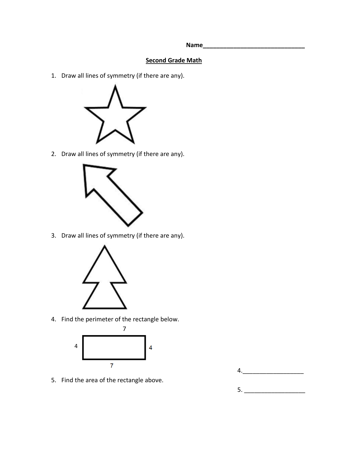**Name\_\_\_\_\_\_\_\_\_\_\_\_\_\_\_\_\_\_\_\_\_\_\_\_\_\_\_\_\_\_**

## **Second Grade Math**

1. Draw all lines of symmetry (if there are any).



2. Draw all lines of symmetry (if there are any).



3. Draw all lines of symmetry (if there are any).



4. Find the perimeter of the rectangle below.



5. Find the area of the rectangle above.

5. \_\_\_\_\_\_\_\_\_\_\_\_\_\_\_\_\_\_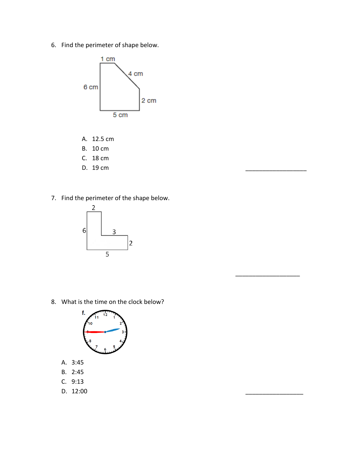6. Find the perimeter of shape below.



- A. 12.5 cm
- B. 10 cm
- C. 18 cm
- D. 19 cm
- 7. Find the perimeter of the shape below.



8. What is the time on the clock below?

 $\overline{\phantom{a}}$  ,  $\overline{\phantom{a}}$  ,  $\overline{\phantom{a}}$  ,  $\overline{\phantom{a}}$  ,  $\overline{\phantom{a}}$  ,  $\overline{\phantom{a}}$  ,  $\overline{\phantom{a}}$  ,  $\overline{\phantom{a}}$  ,  $\overline{\phantom{a}}$  ,  $\overline{\phantom{a}}$  ,  $\overline{\phantom{a}}$  ,  $\overline{\phantom{a}}$  ,  $\overline{\phantom{a}}$  ,  $\overline{\phantom{a}}$  ,  $\overline{\phantom{a}}$  ,  $\overline{\phantom{a}}$ 



- A. 3:45
- B. 2:45
- C. 9:13
- D. 12:00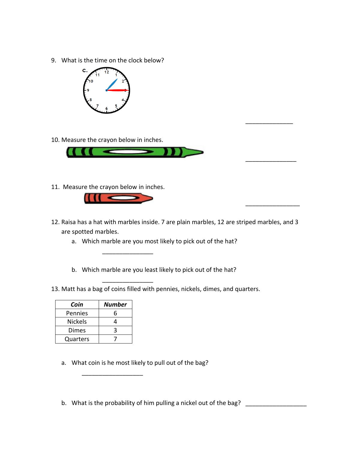9. What is the time on the clock below?



10. Measure the crayon below in inches.



11. Measure the crayon below in inches.



\_\_\_\_\_\_\_\_\_\_\_\_\_\_\_

\_\_\_\_\_\_\_\_\_\_\_\_\_\_\_

12. Raisa has a hat with marbles inside. 7 are plain marbles, 12 are striped marbles, and 3 are spotted marbles.

\_\_\_\_\_\_\_\_\_\_\_\_\_\_

\_\_\_\_\_\_\_\_\_\_\_\_\_\_\_

\_\_\_\_\_\_\_\_\_\_\_\_\_\_\_\_

- a. Which marble are you most likely to pick out of the hat?
- b. Which marble are you least likely to pick out of the hat?
- 13. Matt has a bag of coins filled with pennies, nickels, dimes, and quarters.

| Coin           | Number |
|----------------|--------|
| Pennies        |        |
| <b>Nickels</b> |        |
| Dimes          |        |
| Quarters       |        |

a. What coin is he most likely to pull out of the bag?

\_\_\_\_\_\_\_\_\_\_\_\_\_\_\_\_\_\_

b. What is the probability of him pulling a nickel out of the bag? \_\_\_\_\_\_\_\_\_\_\_\_\_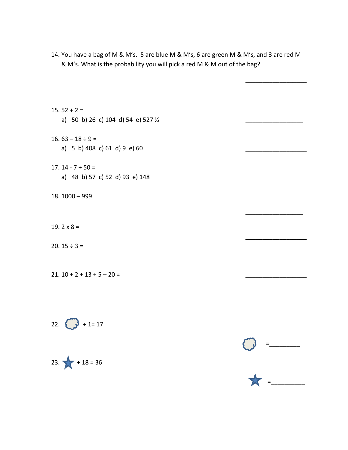- 14. You have a bag of M & M's. 5 are blue M & M's, 6 are green M & M's, and 3 are red M & M's. What is the probability you will pick a red M & M out of the bag?
- $15.52 + 2 =$ a) 50 b) 26 c) 104 d) 54 e) 527  $\frac{1}{2}$
- 16.  $63 18 \div 9 =$ a)  $5 \text{ b}$ ) 408 c) 61 d) 9 e) 60
- $17. 14 7 + 50 =$ a) 48 b) 57 c) 52 d) 93 e) 148
- 18. 1000 999
- 19.  $2 \times 8 =$
- 20.  $15 \div 3 =$
- $21. 10 + 2 + 13 + 5 20 =$







\_\_\_\_\_\_\_\_\_\_\_\_\_\_\_\_\_\_

\_\_\_\_\_\_\_\_\_\_\_\_\_\_\_\_\_

\_\_\_\_\_\_\_\_\_\_\_\_\_\_\_\_\_\_